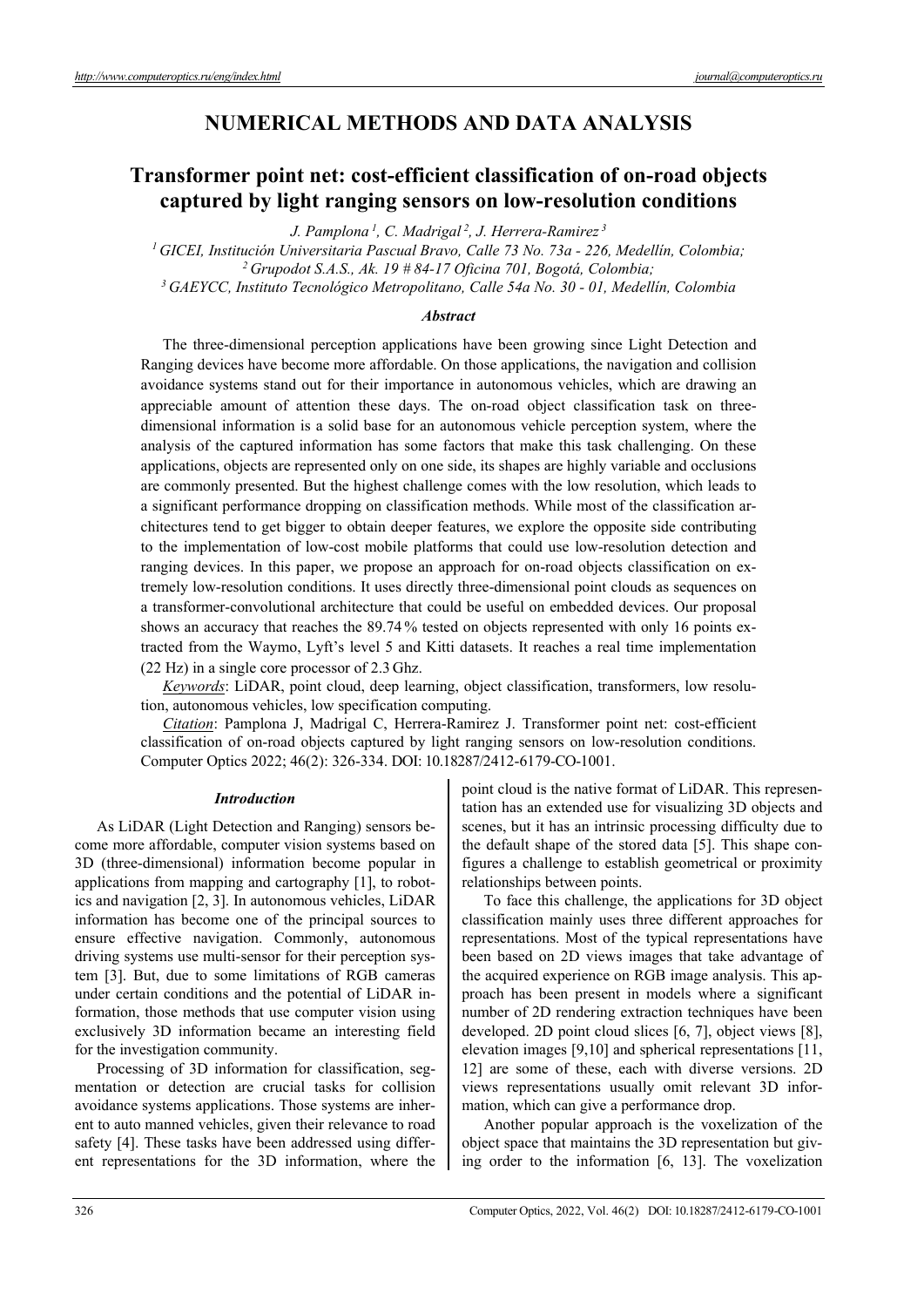# **NUMERICAL METHODS AND DATA ANALYSIS**

# **Transformer point net: cost-efficient classification of on-road objects captured by light ranging sensors on low-resolution conditions**

*J. Pamplona 1, C. Madrigal 2, J. Herrera-Ramirez 3*

<sup>1</sup> GICEI, Institución Universitaria Pascual Bravo, Calle 73 No. 73a - 226, Medellín, Colombia;<br><sup>2</sup> Grupodot S.A.S., Ak. 19 # 84-17 Oficina 701, Bogotá, Colombia;<br><sup>3</sup> GAEYCC, Instituto Tecnológico Metropolitano, Calle 54a

## *Abstract*

The three-dimensional perception applications have been growing since Light Detection and Ranging devices have become more affordable. On those applications, the navigation and collision avoidance systems stand out for their importance in autonomous vehicles, which are drawing an appreciable amount of attention these days. The on-road object classification task on threedimensional information is a solid base for an autonomous vehicle perception system, where the analysis of the captured information has some factors that make this task challenging. On these applications, objects are represented only on one side, its shapes are highly variable and occlusions are commonly presented. But the highest challenge comes with the low resolution, which leads to a significant performance dropping on classification methods. While most of the classification architectures tend to get bigger to obtain deeper features, we explore the opposite side contributing to the implementation of low-cost mobile platforms that could use low-resolution detection and ranging devices. In this paper, we propose an approach for on-road objects classification on extremely low-resolution conditions. It uses directly three-dimensional point clouds as sequences on a transformer-convolutional architecture that could be useful on embedded devices. Our proposal shows an accuracy that reaches the 89.74 % tested on objects represented with only 16 points extracted from the Waymo, Lyft's level 5 and Kitti datasets. It reaches a real time implementation (22 Hz) in a single core processor of 2.3 Ghz.

*Keywords*: LiDAR, point cloud, deep learning, object classification, transformers, low resolution, autonomous vehicles, low specification computing.

*Citation*: Pamplona J, Madrigal C, Herrera-Ramirez J. Transformer point net: cost-efficient classification of on-road objects captured by light ranging sensors on low-resolution conditions. Computer Optics 2022; 46(2): 326-334. DOI: 10.18287/2412-6179-CO-1001.

## *Introduction*

As LiDAR (Light Detection and Ranging) sensors become more affordable, computer vision systems based on 3D (three-dimensional) information become popular in applications from mapping and cartography [1], to robotics and navigation [2, 3]. In autonomous vehicles, LiDAR information has become one of the principal sources to ensure effective navigation. Commonly, autonomous driving systems use multi-sensor for their perception system [3]. But, due to some limitations of RGB cameras under certain conditions and the potential of LiDAR information, those methods that use computer vision using exclusively 3D information became an interesting field for the investigation community.

Processing of 3D information for classification, segmentation or detection are crucial tasks for collision avoidance systems applications. Those systems are inherent to auto manned vehicles, given their relevance to road safety [4]. These tasks have been addressed using different representations for the 3D information, where the point cloud is the native format of LiDAR. This representation has an extended use for visualizing 3D objects and scenes, but it has an intrinsic processing difficulty due to the default shape of the stored data [5]. This shape configures a challenge to establish geometrical or proximity relationships between points.

To face this challenge, the applications for 3D object classification mainly uses three different approaches for representations. Most of the typical representations have been based on 2D views images that take advantage of the acquired experience on RGB image analysis. This approach has been present in models where a significant number of 2D rendering extraction techniques have been developed. 2D point cloud slices [6, 7], object views [8], elevation images [9,10] and spherical representations [11, 12] are some of these, each with diverse versions. 2D views representations usually omit relevant 3D information, which can give a performance drop.

Another popular approach is the voxelization of the object space that maintains the 3D representation but giving order to the information [6, 13]. The voxelization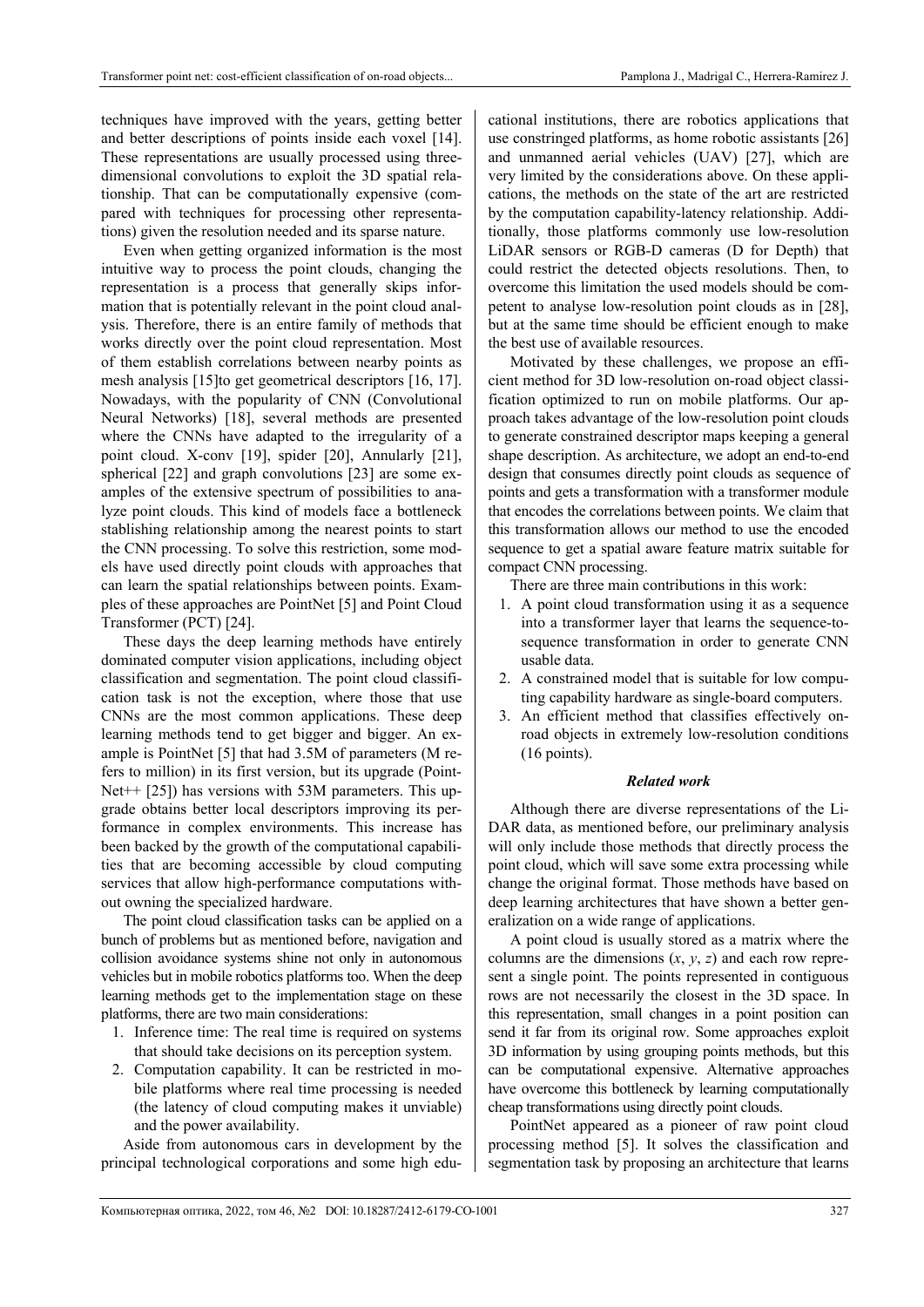techniques have improved with the years, getting better and better descriptions of points inside each voxel [14]. These representations are usually processed using threedimensional convolutions to exploit the 3D spatial relationship. That can be computationally expensive (compared with techniques for processing other representations) given the resolution needed and its sparse nature.

Even when getting organized information is the most intuitive way to process the point clouds, changing the representation is a process that generally skips information that is potentially relevant in the point cloud analysis. Therefore, there is an entire family of methods that works directly over the point cloud representation. Most of them establish correlations between nearby points as mesh analysis [15]to get geometrical descriptors [16, 17]. Nowadays, with the popularity of CNN (Convolutional Neural Networks) [18], several methods are presented where the CNNs have adapted to the irregularity of a point cloud. X-conv [19], spider [20], Annularly [21], spherical [22] and graph convolutions [23] are some examples of the extensive spectrum of possibilities to analyze point clouds. This kind of models face a bottleneck stablishing relationship among the nearest points to start the CNN processing. To solve this restriction, some models have used directly point clouds with approaches that can learn the spatial relationships between points. Examples of these approaches are PointNet [5] and Point Cloud Transformer (PCT) [24].

These days the deep learning methods have entirely dominated computer vision applications, including object classification and segmentation. The point cloud classification task is not the exception, where those that use CNNs are the most common applications. These deep learning methods tend to get bigger and bigger. An example is PointNet [5] that had 3.5M of parameters (M refers to million) in its first version, but its upgrade (Point-Net++ [25]) has versions with 53M parameters. This upgrade obtains better local descriptors improving its performance in complex environments. This increase has been backed by the growth of the computational capabilities that are becoming accessible by cloud computing services that allow high-performance computations without owning the specialized hardware.

The point cloud classification tasks can be applied on a bunch of problems but as mentioned before, navigation and collision avoidance systems shine not only in autonomous vehicles but in mobile robotics platforms too. When the deep learning methods get to the implementation stage on these platforms, there are two main considerations:

- 1. Inference time: The real time is required on systems that should take decisions on its perception system.
- 2. Computation capability. It can be restricted in mobile platforms where real time processing is needed (the latency of cloud computing makes it unviable) and the power availability.

Aside from autonomous cars in development by the principal technological corporations and some high edu-

cational institutions, there are robotics applications that use constringed platforms, as home robotic assistants [26] and unmanned aerial vehicles (UAV) [27], which are very limited by the considerations above. On these applications, the methods on the state of the art are restricted by the computation capability-latency relationship. Additionally, those platforms commonly use low-resolution LiDAR sensors or RGB-D cameras (D for Depth) that could restrict the detected objects resolutions. Then, to overcome this limitation the used models should be competent to analyse low-resolution point clouds as in [28], but at the same time should be efficient enough to make the best use of available resources.

Motivated by these challenges, we propose an efficient method for 3D low-resolution on-road object classification optimized to run on mobile platforms. Our approach takes advantage of the low-resolution point clouds to generate constrained descriptor maps keeping a general shape description. As architecture, we adopt an end-to-end design that consumes directly point clouds as sequence of points and gets a transformation with a transformer module that encodes the correlations between points. We claim that this transformation allows our method to use the encoded sequence to get a spatial aware feature matrix suitable for compact CNN processing.

There are three main contributions in this work:

- 1. A point cloud transformation using it as a sequence into a transformer layer that learns the sequence-tosequence transformation in order to generate CNN usable data.
- 2. A constrained model that is suitable for low computing capability hardware as single-board computers.
- 3. An efficient method that classifies effectively onroad objects in extremely low-resolution conditions (16 points).

#### *Related work*

Although there are diverse representations of the Li-DAR data, as mentioned before, our preliminary analysis will only include those methods that directly process the point cloud, which will save some extra processing while change the original format. Those methods have based on deep learning architectures that have shown a better generalization on a wide range of applications.

A point cloud is usually stored as a matrix where the columns are the dimensions (*x*, *y*, *z*) and each row represent a single point. The points represented in contiguous rows are not necessarily the closest in the 3D space. In this representation, small changes in a point position can send it far from its original row. Some approaches exploit 3D information by using grouping points methods, but this can be computational expensive. Alternative approaches have overcome this bottleneck by learning computationally cheap transformations using directly point clouds.

PointNet appeared as a pioneer of raw point cloud processing method [5]. It solves the classification and segmentation task by proposing an architecture that learns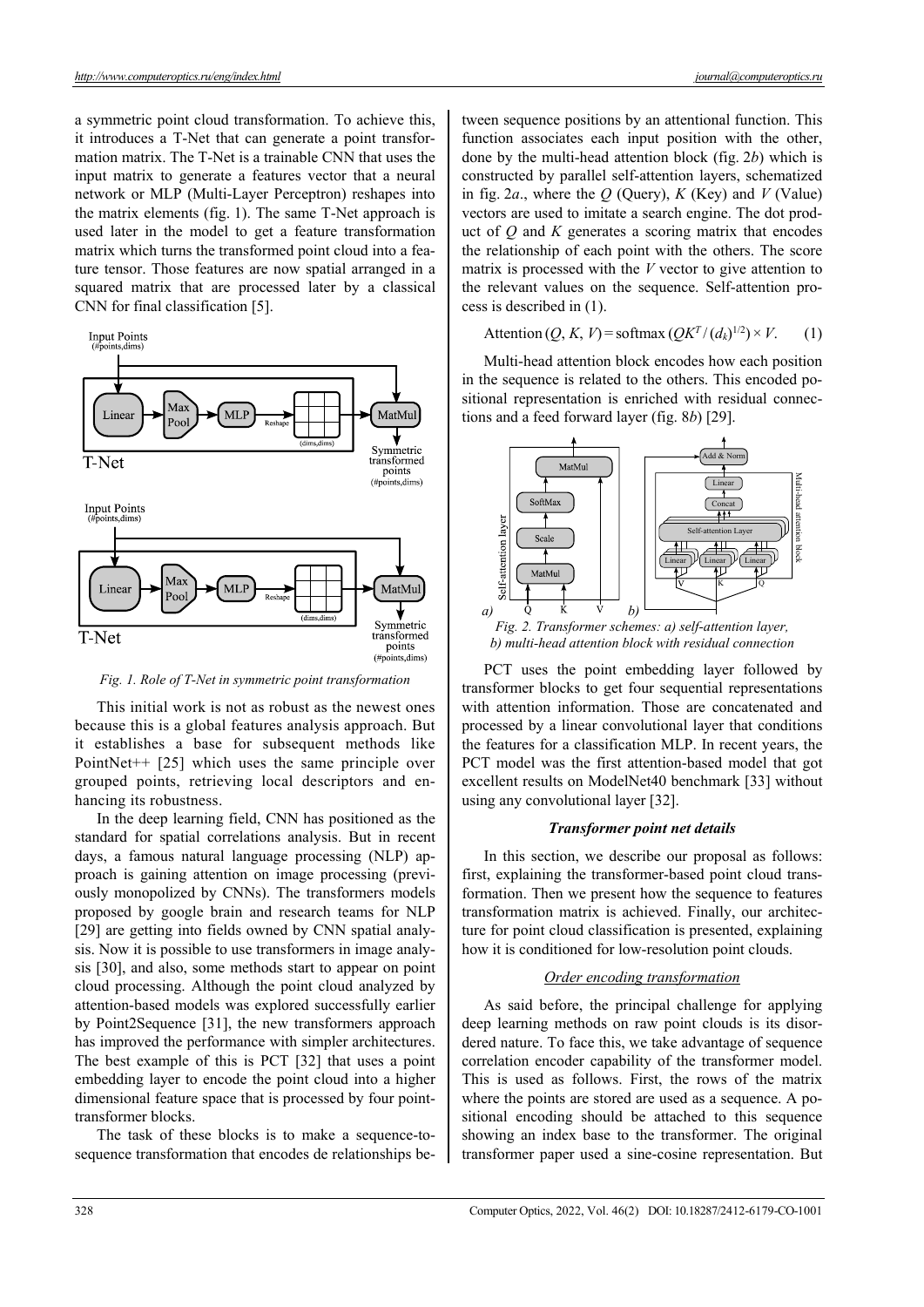a symmetric point cloud transformation. To achieve this, it introduces a T-Net that can generate a point transformation matrix. The T-Net is a trainable CNN that uses the input matrix to generate a features vector that a neural network or MLP (Multi-Layer Perceptron) reshapes into the matrix elements (fig. 1). The same T-Net approach is used later in the model to get a feature transformation matrix which turns the transformed point cloud into a feature tensor. Those features are now spatial arranged in a squared matrix that are processed later by a classical CNN for final classification [5].



*Fig. 1. Role of T-Net in symmetric point transformation* 

This initial work is not as robust as the newest ones because this is a global features analysis approach. But it establishes a base for subsequent methods like PointNet++ [25] which uses the same principle over grouped points, retrieving local descriptors and enhancing its robustness.

In the deep learning field, CNN has positioned as the standard for spatial correlations analysis. But in recent days, a famous natural language processing (NLP) approach is gaining attention on image processing (previously monopolized by CNNs). The transformers models proposed by google brain and research teams for NLP [29] are getting into fields owned by CNN spatial analysis. Now it is possible to use transformers in image analysis [30], and also, some methods start to appear on point cloud processing. Although the point cloud analyzed by attention-based models was explored successfully earlier by Point2Sequence [31], the new transformers approach has improved the performance with simpler architectures. The best example of this is PCT [32] that uses a point embedding layer to encode the point cloud into a higher dimensional feature space that is processed by four pointtransformer blocks.

The task of these blocks is to make a sequence-tosequence transformation that encodes de relationships between sequence positions by an attentional function. This function associates each input position with the other, done by the multi-head attention block (fig. 2*b*) which is constructed by parallel self-attention layers, schematized in fig. 2*a*., where the *Q* (Query), *K* (Key) and *V* (Value) vectors are used to imitate a search engine. The dot product of *Q* and *K* generates a scoring matrix that encodes the relationship of each point with the others. The score matrix is processed with the *V* vector to give attention to the relevant values on the sequence. Self-attention process is described in (1).

# Attention  $(Q, K, V)$  = softmax  $(QK^T/(d_k)^{1/2}) \times V$ . (1)

Multi-head attention block encodes how each position in the sequence is related to the others. This encoded positional representation is enriched with residual connections and a feed forward layer (fig. 8*b*) [29].



PCT uses the point embedding layer followed by transformer blocks to get four sequential representations with attention information. Those are concatenated and processed by a linear convolutional layer that conditions the features for a classification MLP. In recent years, the PCT model was the first attention-based model that got excellent results on ModelNet40 benchmark [33] without using any convolutional layer [32].

#### *Transformer point net details*

In this section, we describe our proposal as follows: first, explaining the transformer-based point cloud transformation. Then we present how the sequence to features transformation matrix is achieved. Finally, our architecture for point cloud classification is presented, explaining how it is conditioned for low-resolution point clouds.

## *Order encoding transformation*

As said before, the principal challenge for applying deep learning methods on raw point clouds is its disordered nature. To face this, we take advantage of sequence correlation encoder capability of the transformer model. This is used as follows. First, the rows of the matrix where the points are stored are used as a sequence. A positional encoding should be attached to this sequence showing an index base to the transformer. The original transformer paper used a sine-cosine representation. But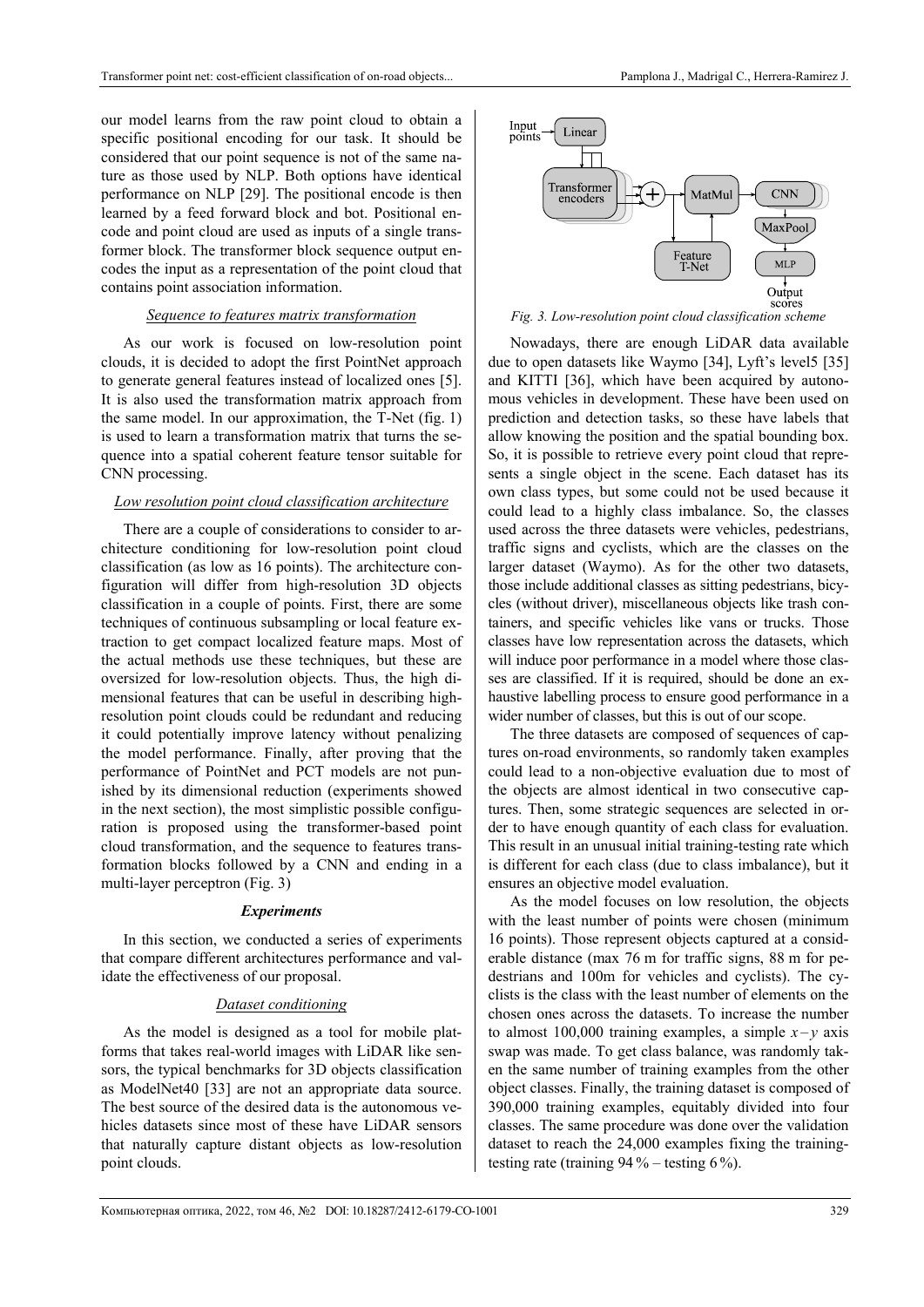our model learns from the raw point cloud to obtain a specific positional encoding for our task. It should be considered that our point sequence is not of the same nature as those used by NLP. Both options have identical performance on NLP [29]. The positional encode is then learned by a feed forward block and bot. Positional encode and point cloud are used as inputs of a single transformer block. The transformer block sequence output encodes the input as a representation of the point cloud that contains point association information.

# *Sequence to features matrix transformation*

As our work is focused on low-resolution point clouds, it is decided to adopt the first PointNet approach to generate general features instead of localized ones [5]. It is also used the transformation matrix approach from the same model. In our approximation, the T-Net (fig. 1) is used to learn a transformation matrix that turns the sequence into a spatial coherent feature tensor suitable for CNN processing.

# *Low resolution point cloud classification architecture*

There are a couple of considerations to consider to architecture conditioning for low-resolution point cloud classification (as low as 16 points). The architecture configuration will differ from high-resolution 3D objects classification in a couple of points. First, there are some techniques of continuous subsampling or local feature extraction to get compact localized feature maps. Most of the actual methods use these techniques, but these are oversized for low-resolution objects. Thus, the high dimensional features that can be useful in describing highresolution point clouds could be redundant and reducing it could potentially improve latency without penalizing the model performance. Finally, after proving that the performance of PointNet and PCT models are not punished by its dimensional reduction (experiments showed in the next section), the most simplistic possible configuration is proposed using the transformer-based point cloud transformation, and the sequence to features transformation blocks followed by a CNN and ending in a multi-layer perceptron (Fig. 3)

## *Experiments*

In this section, we conducted a series of experiments that compare different architectures performance and validate the effectiveness of our proposal.

## *Dataset conditioning*

As the model is designed as a tool for mobile platforms that takes real-world images with LiDAR like sensors, the typical benchmarks for 3D objects classification as ModelNet40 [33] are not an appropriate data source. The best source of the desired data is the autonomous vehicles datasets since most of these have LiDAR sensors that naturally capture distant objects as low-resolution point clouds.



*Fig. 3. Low-resolution point cloud classification scheme* 

Nowadays, there are enough LiDAR data available due to open datasets like Waymo [34], Lyft's level5 [35] and KITTI [36], which have been acquired by autonomous vehicles in development. These have been used on prediction and detection tasks, so these have labels that allow knowing the position and the spatial bounding box. So, it is possible to retrieve every point cloud that represents a single object in the scene. Each dataset has its own class types, but some could not be used because it could lead to a highly class imbalance. So, the classes used across the three datasets were vehicles, pedestrians, traffic signs and cyclists, which are the classes on the larger dataset (Waymo). As for the other two datasets, those include additional classes as sitting pedestrians, bicycles (without driver), miscellaneous objects like trash containers, and specific vehicles like vans or trucks. Those classes have low representation across the datasets, which will induce poor performance in a model where those classes are classified. If it is required, should be done an exhaustive labelling process to ensure good performance in a wider number of classes, but this is out of our scope.

The three datasets are composed of sequences of captures on-road environments, so randomly taken examples could lead to a non-objective evaluation due to most of the objects are almost identical in two consecutive captures. Then, some strategic sequences are selected in order to have enough quantity of each class for evaluation. This result in an unusual initial training-testing rate which is different for each class (due to class imbalance), but it ensures an objective model evaluation.

As the model focuses on low resolution, the objects with the least number of points were chosen (minimum 16 points). Those represent objects captured at a considerable distance (max 76 m for traffic signs, 88 m for pedestrians and 100m for vehicles and cyclists). The cyclists is the class with the least number of elements on the chosen ones across the datasets. To increase the number to almost 100,000 training examples, a simple  $x - y$  axis swap was made. To get class balance, was randomly taken the same number of training examples from the other object classes. Finally, the training dataset is composed of 390,000 training examples, equitably divided into four classes. The same procedure was done over the validation dataset to reach the 24,000 examples fixing the trainingtesting rate (training  $94\%$  – testing 6%).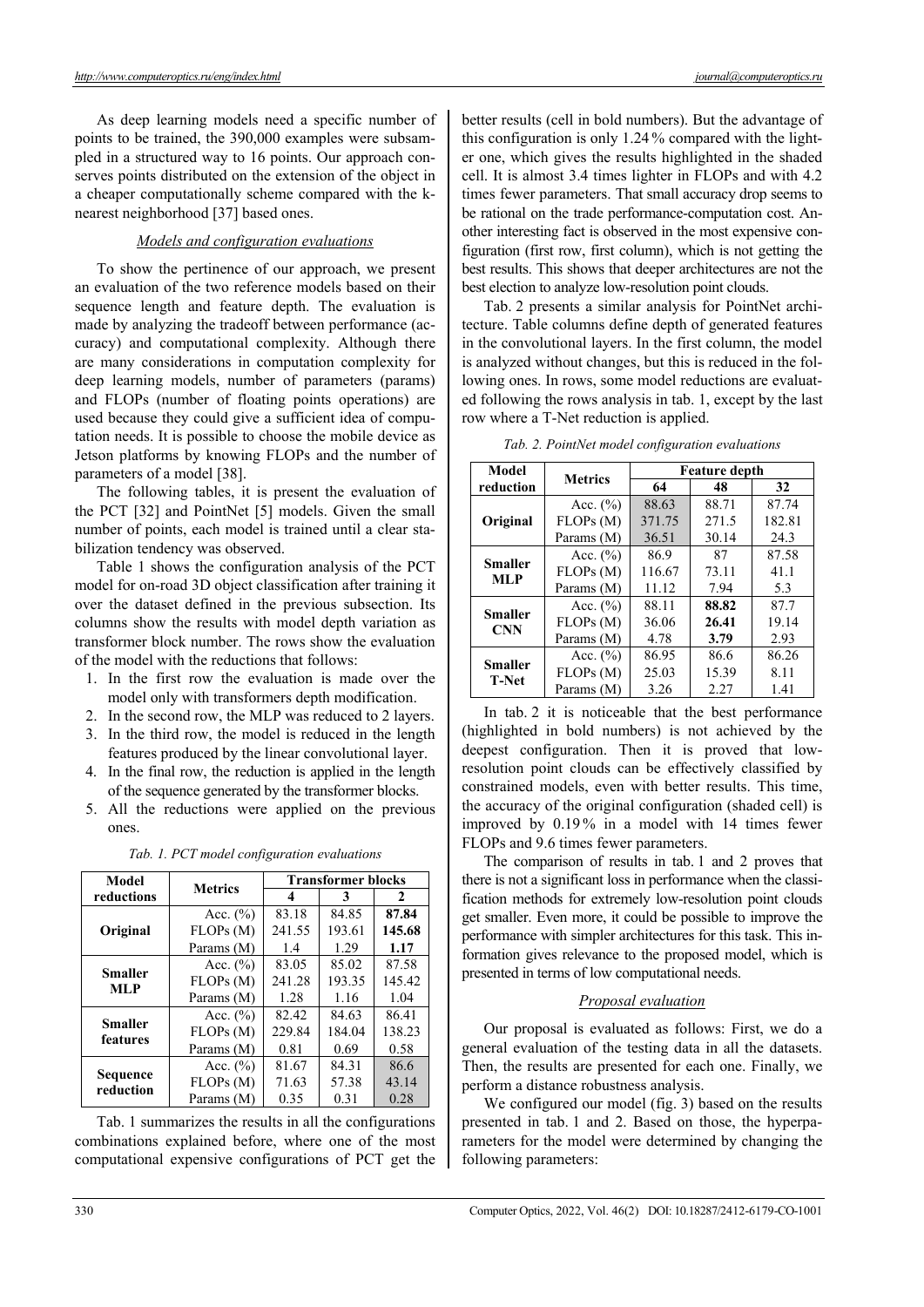As deep learning models need a specific number of points to be trained, the 390,000 examples were subsampled in a structured way to 16 points. Our approach conserves points distributed on the extension of the object in a cheaper computationally scheme compared with the knearest neighborhood [37] based ones.

## *Models and configuration evaluations*

To show the pertinence of our approach, we present an evaluation of the two reference models based on their sequence length and feature depth. The evaluation is made by analyzing the tradeoff between performance (accuracy) and computational complexity. Although there are many considerations in computation complexity for deep learning models, number of parameters (params) and FLOPs (number of floating points operations) are used because they could give a sufficient idea of computation needs. It is possible to choose the mobile device as Jetson platforms by knowing FLOPs and the number of parameters of a model [38].

The following tables, it is present the evaluation of the PCT [32] and PointNet [5] models. Given the small number of points, each model is trained until a clear stabilization tendency was observed.

Table 1 shows the configuration analysis of the PCT model for on-road 3D object classification after training it over the dataset defined in the previous subsection. Its columns show the results with model depth variation as transformer block number. The rows show the evaluation of the model with the reductions that follows:

- 1. In the first row the evaluation is made over the model only with transformers depth modification.
- 2. In the second row, the MLP was reduced to 2 layers.
- 3. In the third row, the model is reduced in the length features produced by the linear convolutional layer.
- 4. In the final row, the reduction is applied in the length of the sequence generated by the transformer blocks.
- 5. All the reductions were applied on the previous ones.

*Tab. 1. PCT model configuration evaluations* 

| Model                        | <b>Metrics</b> | <b>Transformer blocks</b> |        |        |
|------------------------------|----------------|---------------------------|--------|--------|
| reductions                   |                | 4                         | 3      | 2      |
|                              | Acc. $(\% )$   | 83.18                     | 84.85  | 87.84  |
| Original                     | FLOPs(M)       | 241.55                    | 193.61 | 145.68 |
|                              | Params (M)     | 1.4                       | 1.29   | 1.17   |
| <b>Smaller</b><br><b>MLP</b> | Acc. $(\%)$    | 83.05                     | 85.02  | 87.58  |
|                              | FLOPs(M)       | 241.28                    | 193.35 | 145.42 |
|                              | Params (M)     | 1.28                      | 1.16   | 1.04   |
| <b>Smaller</b><br>features   | Acc. $(\% )$   | 82.42                     | 84.63  | 86.41  |
|                              | FLOPs(M)       | 229.84                    | 184.04 | 138.23 |
|                              | Params (M)     | 0.81                      | 0.69   | 0.58   |
| Sequence<br>reduction        | Acc. $(\% )$   | 81.67                     | 84.31  | 86.6   |
|                              | FLOPs(M)       | 71.63                     | 57.38  | 43.14  |
|                              | Params (M)     | 0.35                      | 0.31   | 0.28   |

Tab. 1 summarizes the results in all the configurations combinations explained before, where one of the most computational expensive configurations of PCT get the

better results (cell in bold numbers). But the advantage of this configuration is only 1.24 % compared with the lighter one, which gives the results highlighted in the shaded cell. It is almost 3.4 times lighter in FLOPs and with 4.2 times fewer parameters. That small accuracy drop seems to be rational on the trade performance-computation cost. Another interesting fact is observed in the most expensive configuration (first row, first column), which is not getting the best results. This shows that deeper architectures are not the best election to analyze low-resolution point clouds.

Tab. 2 presents a similar analysis for PointNet architecture. Table columns define depth of generated features in the convolutional layers. In the first column, the model is analyzed without changes, but this is reduced in the following ones. In rows, some model reductions are evaluated following the rows analysis in tab. 1, except by the last row where a T-Net reduction is applied.

| Model                          | <b>Metrics</b> | <b>Feature depth</b> |       |        |  |
|--------------------------------|----------------|----------------------|-------|--------|--|
| reduction                      |                | 64                   |       | 32     |  |
| Original                       | Acc. $(\% )$   | 88.63                | 88.71 | 87.74  |  |
|                                | FLOPs(M)       | 371.75               | 271.5 | 182.81 |  |
|                                | Params (M)     | 36.51                | 30.14 | 24.3   |  |
| <b>Smaller</b><br><b>MLP</b>   | Acc. $(\% )$   | 86.9                 | 87    | 87.58  |  |
|                                | FLOPs(M)       | 116.67               | 73.11 | 41.1   |  |
|                                | Params (M)     | 11.12                | 7.94  | 5.3    |  |
| <b>Smaller</b><br><b>CNN</b>   | Acc. $(\% )$   | 88.11                | 88.82 | 87.7   |  |
|                                | FLOPs (M)      | 36.06                | 26.41 | 19.14  |  |
|                                | Params (M)     | 4.78                 | 3.79  | 2.93   |  |
| <b>Smaller</b><br><b>T-Net</b> | Acc. $(\% )$   | 86.95                | 86.6  | 86.26  |  |
|                                | FLOPs (M)      | 25.03                | 15.39 | 8.11   |  |
|                                | Params (M)     | 3.26                 | 2.27  | 1.41   |  |

*Tab. 2. PointNet model configuration evaluations* 

In tab. 2 it is noticeable that the best performance (highlighted in bold numbers) is not achieved by the deepest configuration. Then it is proved that lowresolution point clouds can be effectively classified by constrained models, even with better results. This time, the accuracy of the original configuration (shaded cell) is improved by 0.19 % in a model with 14 times fewer FLOPs and 9.6 times fewer parameters.

The comparison of results in tab. 1 and 2 proves that there is not a significant loss in performance when the classification methods for extremely low-resolution point clouds get smaller. Even more, it could be possible to improve the performance with simpler architectures for this task. This information gives relevance to the proposed model, which is presented in terms of low computational needs.

# *Proposal evaluation*

Our proposal is evaluated as follows: First, we do a general evaluation of the testing data in all the datasets. Then, the results are presented for each one. Finally, we perform a distance robustness analysis.

We configured our model (fig. 3) based on the results presented in tab. 1 and 2. Based on those, the hyperparameters for the model were determined by changing the following parameters: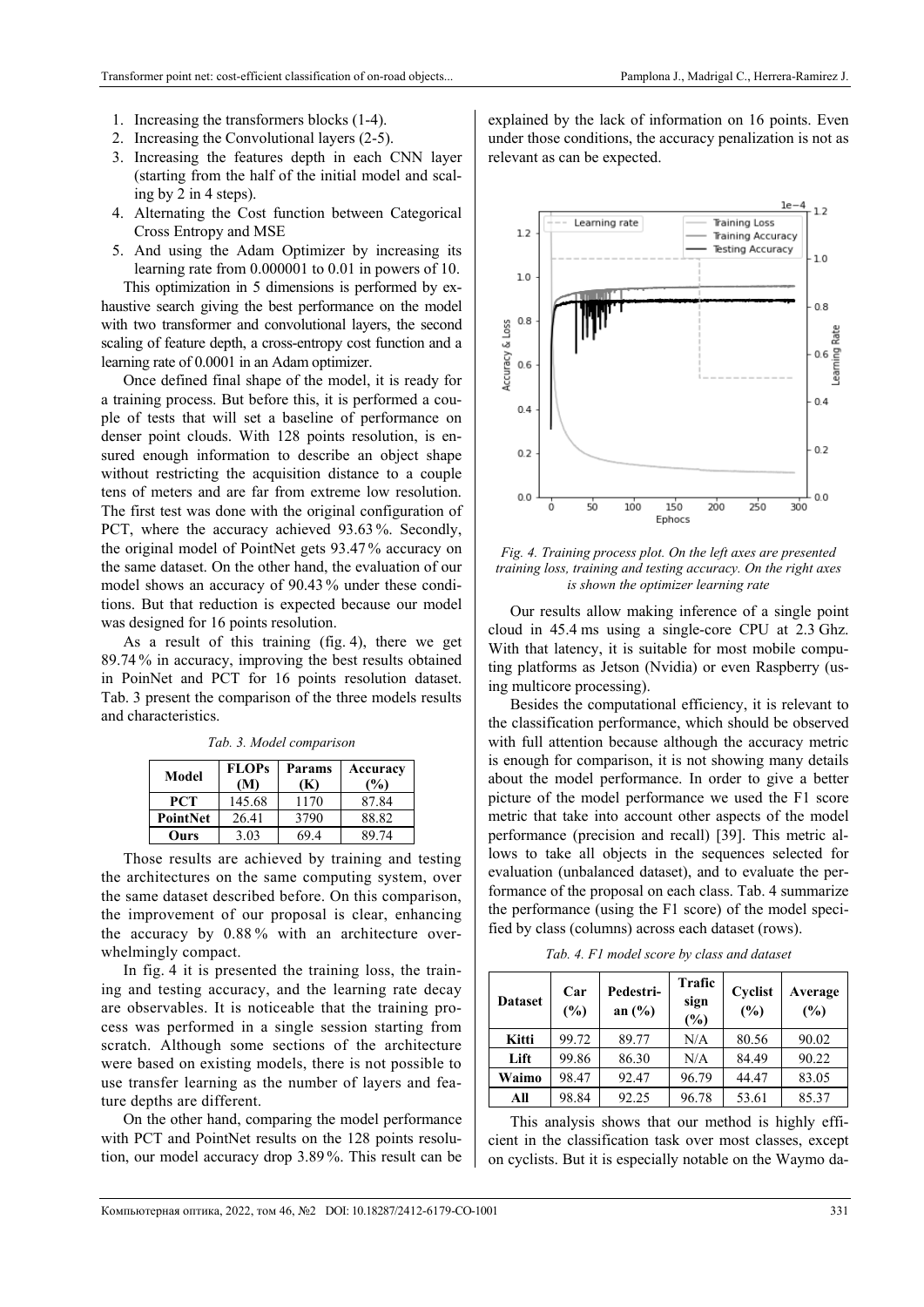- 1. Increasing the transformers blocks (1-4).
- 2. Increasing the Convolutional layers (2-5).
- 3. Increasing the features depth in each CNN layer (starting from the half of the initial model and scaling by 2 in 4 steps).
- 4. Alternating the Cost function between Categorical Cross Entropy and MSE
- 5. And using the Adam Optimizer by increasing its learning rate from 0.000001 to 0.01 in powers of 10.

This optimization in 5 dimensions is performed by exhaustive search giving the best performance on the model with two transformer and convolutional layers, the second scaling of feature depth, a cross-entropy cost function and a learning rate of 0.0001 in an Adam optimizer.

Once defined final shape of the model, it is ready for a training process. But before this, it is performed a couple of tests that will set a baseline of performance on denser point clouds. With 128 points resolution, is ensured enough information to describe an object shape without restricting the acquisition distance to a couple tens of meters and are far from extreme low resolution. The first test was done with the original configuration of PCT, where the accuracy achieved 93.63 %. Secondly, the original model of PointNet gets 93.47 % accuracy on the same dataset. On the other hand, the evaluation of our model shows an accuracy of 90.43 % under these conditions. But that reduction is expected because our model was designed for 16 points resolution.

As a result of this training (fig. 4), there we get 89.74 % in accuracy, improving the best results obtained in PoinNet and PCT for 16 points resolution dataset. Tab. 3 present the comparison of the three models results and characteristics.

| Model      | <b>FLOPs</b><br>M) | Params<br>(K) | Accuracy<br>$\binom{0}{0}$ |
|------------|--------------------|---------------|----------------------------|
| <b>PCT</b> | 145.68             | 1170          | 87.84                      |
| PointNet   | 26.41              | 3790          | 88.82                      |
| Ours       | 3.03               | 69.4          | 89.74                      |

*Tab. 3. Model comparison* 

Those results are achieved by training and testing the architectures on the same computing system, over the same dataset described before. On this comparison, the improvement of our proposal is clear, enhancing the accuracy by 0.88 % with an architecture overwhelmingly compact.

In fig. 4 it is presented the training loss, the training and testing accuracy, and the learning rate decay are observables. It is noticeable that the training process was performed in a single session starting from scratch. Although some sections of the architecture were based on existing models, there is not possible to use transfer learning as the number of layers and feature depths are different.

On the other hand, comparing the model performance with PCT and PointNet results on the 128 points resolution, our model accuracy drop 3.89 %. This result can be

explained by the lack of information on 16 points. Even under those conditions, the accuracy penalization is not as relevant as can be expected.



*Fig. 4. Training process plot. On the left axes are presented training loss, training and testing accuracy. On the right axes is shown the optimizer learning rate* 

Our results allow making inference of a single point cloud in 45.4 ms using a single-core CPU at 2.3 Ghz. With that latency, it is suitable for most mobile computing platforms as Jetson (Nvidia) or even Raspberry (using multicore processing).

Besides the computational efficiency, it is relevant to the classification performance, which should be observed with full attention because although the accuracy metric is enough for comparison, it is not showing many details about the model performance. In order to give a better picture of the model performance we used the F1 score metric that take into account other aspects of the model performance (precision and recall) [39]. This metric allows to take all objects in the sequences selected for evaluation (unbalanced dataset), and to evaluate the performance of the proposal on each class. Tab. 4 summarize the performance (using the F1 score) of the model specified by class (columns) across each dataset (rows).

*Tab. 4. F1 model score by class and dataset* 

| <b>Dataset</b> | Car<br>(%) | Pedestri-<br>an $(\% )$ | <b>Trafic</b><br>sign<br>(%) | Cyclist<br>(%) | Average<br>(%) |
|----------------|------------|-------------------------|------------------------------|----------------|----------------|
| Kitti          | 99.72      | 89.77                   | N/A                          | 80.56          | 90.02          |
| Lift           | 99.86      | 86.30                   | N/A                          | 84.49          | 90.22          |
| Waimo          | 98.47      | 92.47                   | 96.79                        | 44.47          | 83.05          |
| All            | 98.84      | 92.25                   | 96.78                        | 53.61          | 85.37          |

This analysis shows that our method is highly efficient in the classification task over most classes, except on cyclists. But it is especially notable on the Waymo da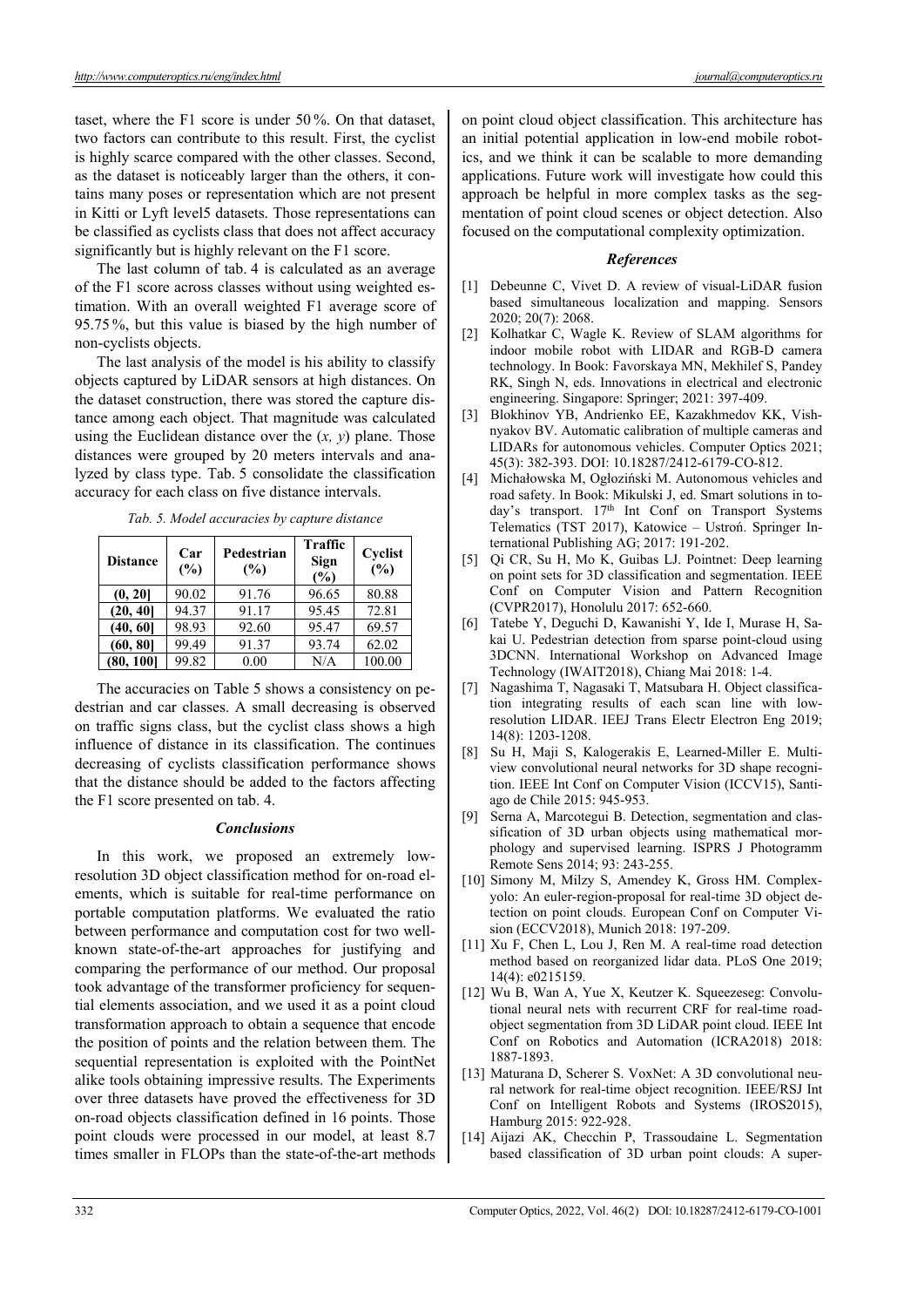taset, where the F1 score is under 50 %. On that dataset, two factors can contribute to this result. First, the cyclist is highly scarce compared with the other classes. Second, as the dataset is noticeably larger than the others, it contains many poses or representation which are not present in Kitti or Lyft level5 datasets. Those representations can be classified as cyclists class that does not affect accuracy significantly but is highly relevant on the F1 score.

The last column of tab. 4 is calculated as an average of the F1 score across classes without using weighted estimation. With an overall weighted F1 average score of 95.75 %, but this value is biased by the high number of non-cyclists objects.

The last analysis of the model is his ability to classify objects captured by LiDAR sensors at high distances. On the dataset construction, there was stored the capture distance among each object. That magnitude was calculated using the Euclidean distance over the (*x, y*) plane. Those distances were grouped by 20 meters intervals and analyzed by class type. Tab. 5 consolidate the classification accuracy for each class on five distance intervals.

*Tab. 5. Model accuracies by capture distance* 

| <b>Distance</b> | Car<br>(%) | Pedestrian<br>(%) | <b>Traffic</b><br>Sign<br>(%) | Cyclist<br>(%) |
|-----------------|------------|-------------------|-------------------------------|----------------|
| (0, 20]         | 90.02      | 91.76             | 96.65                         | 80.88          |
| (20, 40]        | 94.37      | 91.17             | 95.45                         | 72.81          |
| (40, 60]        | 98.93      | 92.60             | 95.47                         | 69.57          |
| (60, 80)        | 99.49      | 91.37             | 93.74                         | 62.02          |
| (80, 100]       | 99.82      | 0.00              | N/A                           | 100.00         |

The accuracies on Table 5 shows a consistency on pedestrian and car classes. A small decreasing is observed on traffic signs class, but the cyclist class shows a high influence of distance in its classification. The continues decreasing of cyclists classification performance shows that the distance should be added to the factors affecting the F1 score presented on tab. 4.

## *Conclusions*

In this work, we proposed an extremely lowresolution 3D object classification method for on-road elements, which is suitable for real-time performance on portable computation platforms. We evaluated the ratio between performance and computation cost for two wellknown state-of-the-art approaches for justifying and comparing the performance of our method. Our proposal took advantage of the transformer proficiency for sequential elements association, and we used it as a point cloud transformation approach to obtain a sequence that encode the position of points and the relation between them. The sequential representation is exploited with the PointNet alike tools obtaining impressive results. The Experiments over three datasets have proved the effectiveness for 3D on-road objects classification defined in 16 points. Those point clouds were processed in our model, at least 8.7 times smaller in FLOPs than the state-of-the-art methods on point cloud object classification. This architecture has an initial potential application in low-end mobile robotics, and we think it can be scalable to more demanding applications. Future work will investigate how could this approach be helpful in more complex tasks as the segmentation of point cloud scenes or object detection. Also focused on the computational complexity optimization.

# *References*

- [1] Debeunne C, Vivet D. A review of visual-LiDAR fusion based simultaneous localization and mapping. Sensors 2020; 20(7): 2068.
- [2] Kolhatkar C, Wagle K. Review of SLAM algorithms for indoor mobile robot with LIDAR and RGB-D camera technology. In Book: Favorskaya MN, Mekhilef S, Pandey RK, Singh N, eds. Innovations in electrical and electronic engineering. Singapore: Springer; 2021: 397-409.
- [3] Blokhinov YB, Andrienko EE, Kazakhmedov KK, Vishnyakov BV. Automatic calibration of multiple cameras and LIDARs for autonomous vehicles. Computer Optics 2021; 45(3): 382-393. DOI: 10.18287/2412-6179-CO-812.
- [4] Michałowska M, Ogłoziński M. Autonomous vehicles and road safety. In Book: Mikulski J, ed. Smart solutions in today's transport. 17<sup>th</sup> Int Conf on Transport Systems Telematics (TST 2017), Katowice – Ustroń. Springer International Publishing AG; 2017: 191-202.
- [5] Qi CR, Su H, Mo K, Guibas LJ. Pointnet: Deep learning on point sets for 3D classification and segmentation. IEEE Conf on Computer Vision and Pattern Recognition (CVPR2017), Honolulu 2017: 652-660.
- [6] Tatebe Y, Deguchi D, Kawanishi Y, Ide I, Murase H, Sakai U. Pedestrian detection from sparse point-cloud using 3DCNN. International Workshop on Advanced Image Technology (IWAIT2018), Chiang Mai 2018: 1-4.
- [7] Nagashima T, Nagasaki T, Matsubara H. Object classification integrating results of each scan line with lowresolution LIDAR. IEEJ Trans Electr Electron Eng 2019; 14(8): 1203-1208.
- [8] Su H, Maji S, Kalogerakis E, Learned-Miller E. Multiview convolutional neural networks for 3D shape recognition. IEEE Int Conf on Computer Vision (ICCV15), Santiago de Chile 2015: 945-953.
- [9] Serna A, Marcotegui B. Detection, segmentation and classification of 3D urban objects using mathematical morphology and supervised learning. ISPRS J Photogramm Remote Sens 2014; 93: 243-255.
- [10] Simony M, Milzy S, Amendey K, Gross HM. Complexyolo: An euler-region-proposal for real-time 3D object detection on point clouds. European Conf on Computer Vision (ECCV2018), Munich 2018: 197-209.
- [11] Xu F, Chen L, Lou J, Ren M. A real-time road detection method based on reorganized lidar data. PLoS One 2019; 14(4): e0215159.
- [12] Wu B, Wan A, Yue X, Keutzer K. Squeezeseg: Convolutional neural nets with recurrent CRF for real-time roadobject segmentation from 3D LiDAR point cloud. IEEE Int Conf on Robotics and Automation (ICRA2018) 2018: 1887-1893.
- [13] Maturana D, Scherer S. VoxNet: A 3D convolutional neural network for real-time object recognition. IEEE/RSJ Int Conf on Intelligent Robots and Systems (IROS2015), Hamburg 2015: 922-928.
- [14] Aijazi AK, Checchin P, Trassoudaine L. Segmentation based classification of 3D urban point clouds: A super-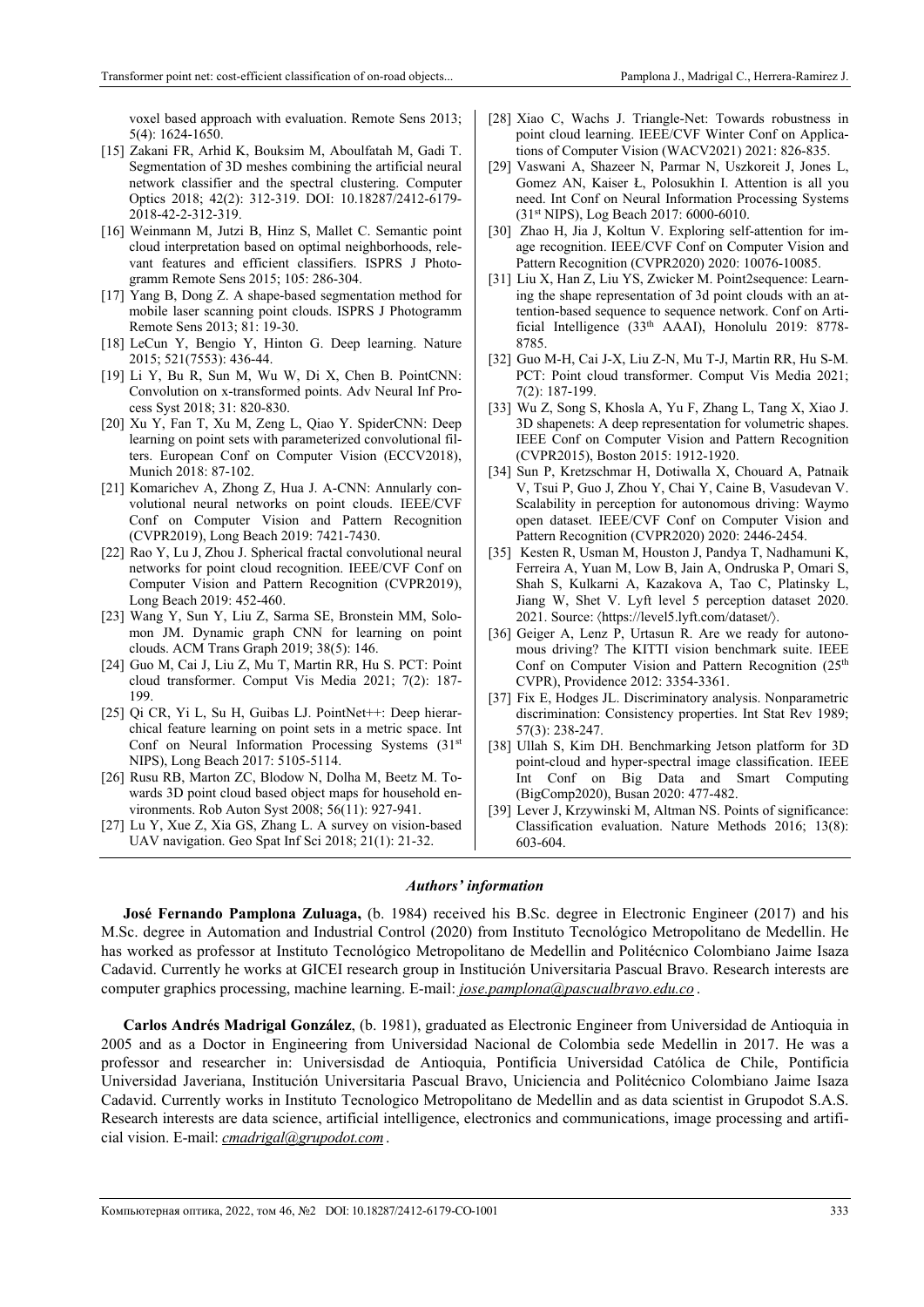voxel based approach with evaluation. Remote Sens 2013; 5(4): 1624-1650.

- [15] Zakani FR, Arhid K, Bouksim M, Aboulfatah M, Gadi T. Segmentation of 3D meshes combining the artificial neural network classifier and the spectral clustering. Computer Optics 2018; 42(2): 312-319. DOI: 10.18287/2412-6179- 2018-42-2-312-319.
- [16] Weinmann M, Jutzi B, Hinz S, Mallet C. Semantic point cloud interpretation based on optimal neighborhoods, relevant features and efficient classifiers. ISPRS J Photogramm Remote Sens 2015; 105: 286-304.
- [17] Yang B, Dong Z. A shape-based segmentation method for mobile laser scanning point clouds. ISPRS J Photogramm Remote Sens 2013; 81: 19-30.
- [18] LeCun Y, Bengio Y, Hinton G. Deep learning. Nature 2015; 521(7553): 436-44.
- [19] Li Y, Bu R, Sun M, Wu W, Di X, Chen B. PointCNN: Convolution on x-transformed points. Adv Neural Inf Process Syst 2018; 31: 820-830.
- [20] Xu Y, Fan T, Xu M, Zeng L, Qiao Y. SpiderCNN: Deep learning on point sets with parameterized convolutional filters. European Conf on Computer Vision (ECCV2018), Munich 2018: 87-102.
- [21] Komarichev A, Zhong Z, Hua J. A-CNN: Annularly convolutional neural networks on point clouds. IEEE/CVF Conf on Computer Vision and Pattern Recognition (CVPR2019), Long Beach 2019: 7421-7430.
- [22] Rao Y, Lu J, Zhou J. Spherical fractal convolutional neural networks for point cloud recognition. IEEE/CVF Conf on Computer Vision and Pattern Recognition (CVPR2019), Long Beach 2019: 452-460.
- [23] Wang Y, Sun Y, Liu Z, Sarma SE, Bronstein MM, Solomon JM. Dynamic graph CNN for learning on point clouds. ACM Trans Graph 2019; 38(5): 146.
- [24] Guo M, Cai J, Liu Z, Mu T, Martin RR, Hu S. PCT: Point cloud transformer. Comput Vis Media 2021; 7(2): 187- 199.
- [25] Qi CR, Yi L, Su H, Guibas LJ. PointNet++: Deep hierarchical feature learning on point sets in a metric space. Int Conf on Neural Information Processing Systems (31st NIPS), Long Beach 2017: 5105-5114.
- [26] Rusu RB, Marton ZC, Blodow N, Dolha M, Beetz M. Towards 3D point cloud based object maps for household environments. Rob Auton Syst 2008; 56(11): 927-941.
- [27] Lu Y, Xue Z, Xia GS, Zhang L. A survey on vision-based UAV navigation. Geo Spat Inf Sci 2018; 21(1): 21-32.
- [28] Xiao C, Wachs J. Triangle-Net: Towards robustness in point cloud learning. IEEE/CVF Winter Conf on Applications of Computer Vision (WACV2021) 2021: 826-835.
- [29] Vaswani A, Shazeer N, Parmar N, Uszkoreit J, Jones L, Gomez AN, Kaiser Ł, Polosukhin I. Attention is all you need. Int Conf on Neural Information Processing Systems (31st NIPS), Log Beach 2017: 6000-6010.
- [30] Zhao H, Jia J, Koltun V. Exploring self-attention for image recognition. IEEE/CVF Conf on Computer Vision and Pattern Recognition (CVPR2020) 2020: 10076-10085.
- [31] Liu X, Han Z, Liu YS, Zwicker M. Point2sequence: Learning the shape representation of 3d point clouds with an attention-based sequence to sequence network. Conf on Artificial Intelligence (33<sup>th</sup> AAAI), Honolulu 2019: 8778-8785.
- [32] Guo M-H, Cai J-X, Liu Z-N, Mu T-J, Martin RR, Hu S-M. PCT: Point cloud transformer. Comput Vis Media 2021; 7(2): 187-199.
- [33] Wu Z, Song S, Khosla A, Yu F, Zhang L, Tang X, Xiao J. 3D shapenets: A deep representation for volumetric shapes. IEEE Conf on Computer Vision and Pattern Recognition (CVPR2015), Boston 2015: 1912-1920.
- [34] Sun P, Kretzschmar H, Dotiwalla X, Chouard A, Patnaik V, Tsui P, Guo J, Zhou Y, Chai Y, Caine B, Vasudevan V. Scalability in perception for autonomous driving: Waymo open dataset. IEEE/CVF Conf on Computer Vision and Pattern Recognition (CVPR2020) 2020: 2446-2454.
- [35] Kesten R, Usman M, Houston J, Pandya T, Nadhamuni K, Ferreira A, Yuan M, Low B, Jain A, Ondruska P, Omari S, Shah S, Kulkarni A, Kazakova A, Tao C, Platinsky L, Jiang W, Shet V. Lyft level 5 perception dataset 2020. 2021. Source: https://level5.lyft.com/dataset/.
- [36] Geiger A, Lenz P, Urtasun R. Are we ready for autonomous driving? The KITTI vision benchmark suite. IEEE Conf on Computer Vision and Pattern Recognition (25<sup>th</sup> CVPR), Providence 2012: 3354-3361.
- [37] Fix E, Hodges JL. Discriminatory analysis. Nonparametric discrimination: Consistency properties. Int Stat Rev 1989; 57(3): 238-247.
- [38] Ullah S, Kim DH. Benchmarking Jetson platform for 3D point-cloud and hyper-spectral image classification. IEEE Int Conf on Big Data and Smart Computing (BigComp2020), Busan 2020: 477-482.
- [39] Lever J, Krzywinski M, Altman NS. Points of significance: Classification evaluation. Nature Methods 2016; 13(8): 603-604.

#### *Authors' information*

**José Fernando Pamplona Zuluaga,** (b. 1984) received his B.Sc. degree in Electronic Engineer (2017) and his M.Sc. degree in Automation and Industrial Control (2020) from Instituto Tecnológico Metropolitano de Medellin. He has worked as professor at Instituto Tecnológico Metropolitano de Medellin and Politécnico Colombiano Jaime Isaza Cadavid. Currently he works at GICEI research group in Institución Universitaria Pascual Bravo. Research interests are computer graphics processing, machine learning. E-mail: *jose.pamplona@pascualbravo.edu.co* .

**Carlos Andrés Madrigal González**, (b. 1981), graduated as Electronic Engineer from Universidad de Antioquia in 2005 and as a Doctor in Engineering from Universidad Nacional de Colombia sede Medellin in 2017. He was a professor and researcher in: Universisdad de Antioquia, Pontificia Universidad Católica de Chile, Pontificia Universidad Javeriana, Institución Universitaria Pascual Bravo, Uniciencia and Politécnico Colombiano Jaime Isaza Cadavid. Currently works in Instituto Tecnologico Metropolitano de Medellin and as data scientist in Grupodot S.A.S. Research interests are data science, artificial intelligence, electronics and communications, image processing and artificial vision. E-mail: *cmadrigal@grupodot.com*.